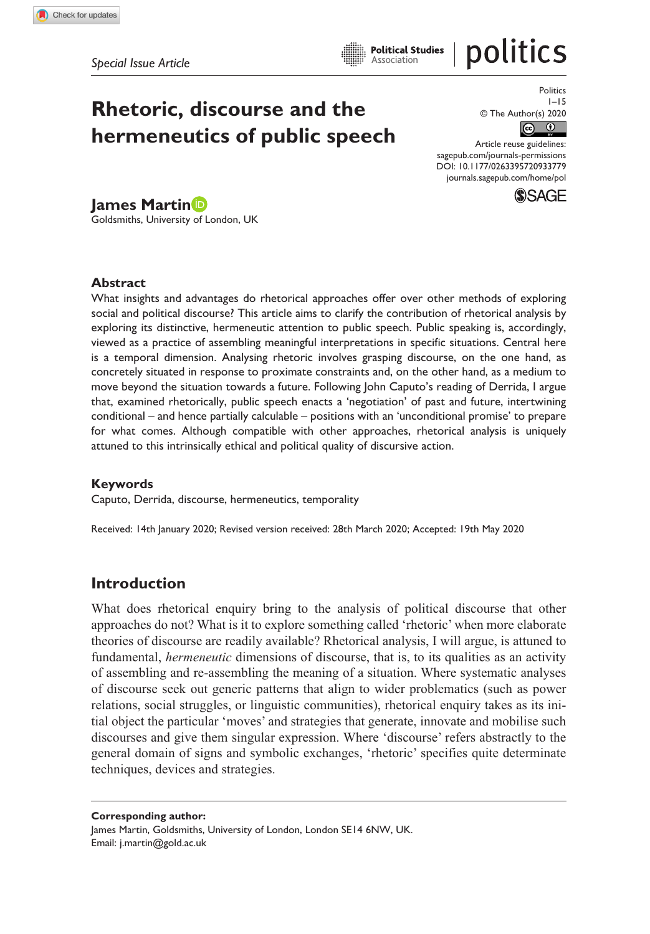# politics

# **Rhetoric, discourse and the hermeneutics of public speech**

Politics 1–15 © The Author(s) 2020

 $\sqrt{c}$  $\odot$ 

DOI: 10.1177/0263395720933779 Article reuse guidelines: [sagepub.com/journals-permissions](https://uk.sagepub.com/en-gb/journals-permissions) [journals.sagepub.com/home/pol](https://journals.sagepub.com/home/pol)



**James Martin** Goldsmiths, University of London, UK

#### **Abstract**

What insights and advantages do rhetorical approaches offer over other methods of exploring social and political discourse? This article aims to clarify the contribution of rhetorical analysis by exploring its distinctive, hermeneutic attention to public speech. Public speaking is, accordingly, viewed as a practice of assembling meaningful interpretations in specific situations. Central here is a temporal dimension. Analysing rhetoric involves grasping discourse, on the one hand, as concretely situated in response to proximate constraints and, on the other hand, as a medium to move beyond the situation towards a future. Following John Caputo's reading of Derrida, I argue that, examined rhetorically, public speech enacts a 'negotiation' of past and future, intertwining conditional – and hence partially calculable – positions with an 'unconditional promise' to prepare for what comes. Although compatible with other approaches, rhetorical analysis is uniquely attuned to this intrinsically ethical and political quality of discursive action.

### **Keywords**

Caputo, Derrida, discourse, hermeneutics, temporality

Received: 14th January 2020; Revised version received: 28th March 2020; Accepted: 19th May 2020

# **Introduction**

What does rhetorical enquiry bring to the analysis of political discourse that other approaches do not? What is it to explore something called 'rhetoric' when more elaborate theories of discourse are readily available? Rhetorical analysis, I will argue, is attuned to fundamental, *hermeneutic* dimensions of discourse, that is, to its qualities as an activity of assembling and re-assembling the meaning of a situation. Where systematic analyses of discourse seek out generic patterns that align to wider problematics (such as power relations, social struggles, or linguistic communities), rhetorical enquiry takes as its initial object the particular 'moves' and strategies that generate, innovate and mobilise such discourses and give them singular expression. Where 'discourse' refers abstractly to the general domain of signs and symbolic exchanges, 'rhetoric' specifies quite determinate techniques, devices and strategies.

**Corresponding author:** James Martin, Goldsmiths, University of London, London SE14 6NW, UK. Email: [j.martin@gold.ac.uk](mailto:j.martin@gold.ac.uk)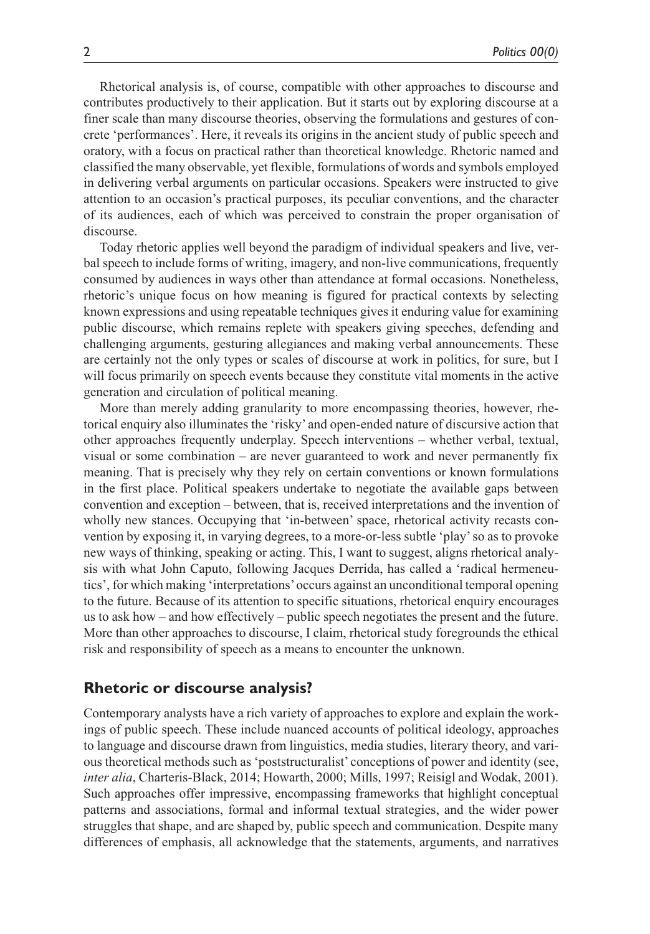Rhetorical analysis is, of course, compatible with other approaches to discourse and contributes productively to their application. But it starts out by exploring discourse at a finer scale than many discourse theories, observing the formulations and gestures of concrete 'performances'. Here, it reveals its origins in the ancient study of public speech and oratory, with a focus on practical rather than theoretical knowledge. Rhetoric named and classified the many observable, yet flexible, formulations of words and symbols employed in delivering verbal arguments on particular occasions. Speakers were instructed to give attention to an occasion's practical purposes, its peculiar conventions, and the character of its audiences, each of which was perceived to constrain the proper organisation of discourse.

Today rhetoric applies well beyond the paradigm of individual speakers and live, verbal speech to include forms of writing, imagery, and non-live communications, frequently consumed by audiences in ways other than attendance at formal occasions. Nonetheless, rhetoric's unique focus on how meaning is figured for practical contexts by selecting known expressions and using repeatable techniques gives it enduring value for examining public discourse, which remains replete with speakers giving speeches, defending and challenging arguments, gesturing allegiances and making verbal announcements. These are certainly not the only types or scales of discourse at work in politics, for sure, but I will focus primarily on speech events because they constitute vital moments in the active generation and circulation of political meaning.

More than merely adding granularity to more encompassing theories, however, rhetorical enquiry also illuminates the 'risky' and open-ended nature of discursive action that other approaches frequently underplay. Speech interventions – whether verbal, textual, visual or some combination – are never guaranteed to work and never permanently fix meaning. That is precisely why they rely on certain conventions or known formulations in the first place. Political speakers undertake to negotiate the available gaps between convention and exception – between, that is, received interpretations and the invention of wholly new stances. Occupying that 'in-between' space, rhetorical activity recasts convention by exposing it, in varying degrees, to a more-or-less subtle 'play' so as to provoke new ways of thinking, speaking or acting. This, I want to suggest, aligns rhetorical analysis with what John Caputo, following Jacques Derrida, has called a 'radical hermeneutics', for which making 'interpretations' occurs against an unconditional temporal opening to the future. Because of its attention to specific situations, rhetorical enquiry encourages us to ask how – and how effectively – public speech negotiates the present and the future. More than other approaches to discourse, I claim, rhetorical study foregrounds the ethical risk and responsibility of speech as a means to encounter the unknown.

### **Rhetoric or discourse analysis?**

Contemporary analysts have a rich variety of approaches to explore and explain the workings of public speech. These include nuanced accounts of political ideology, approaches to language and discourse drawn from linguistics, media studies, literary theory, and various theoretical methods such as 'poststructuralist' conceptions of power and identity (see, *inter alia*, Charteris-Black, 2014; Howarth, 2000; Mills, 1997; Reisigl and Wodak, 2001). Such approaches offer impressive, encompassing frameworks that highlight conceptual patterns and associations, formal and informal textual strategies, and the wider power struggles that shape, and are shaped by, public speech and communication. Despite many differences of emphasis, all acknowledge that the statements, arguments, and narratives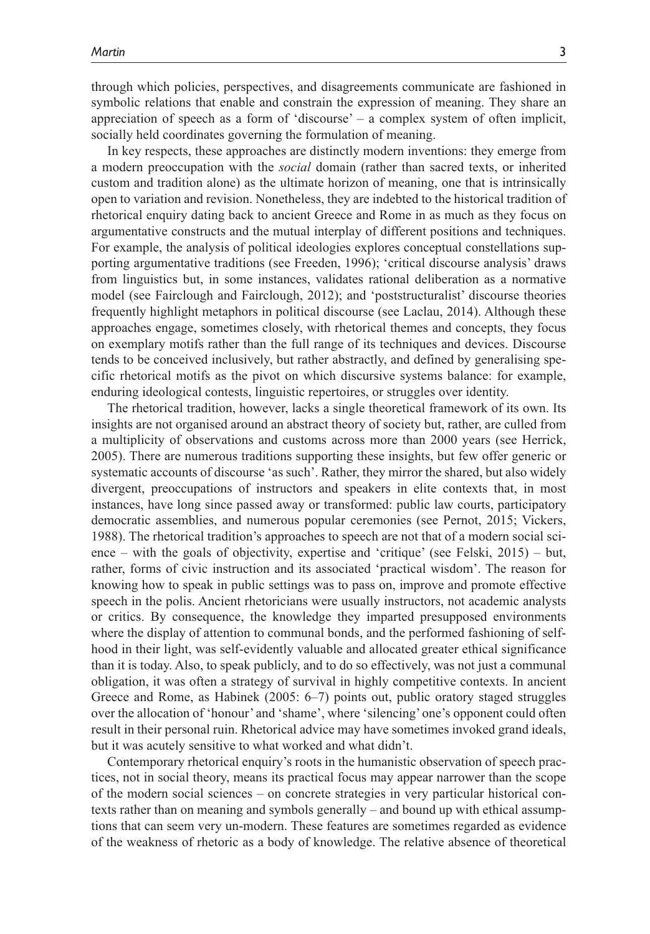through which policies, perspectives, and disagreements communicate are fashioned in symbolic relations that enable and constrain the expression of meaning. They share an appreciation of speech as a form of 'discourse' – a complex system of often implicit, socially held coordinates governing the formulation of meaning.

In key respects, these approaches are distinctly modern inventions: they emerge from a modern preoccupation with the *social* domain (rather than sacred texts, or inherited custom and tradition alone) as the ultimate horizon of meaning, one that is intrinsically open to variation and revision. Nonetheless, they are indebted to the historical tradition of rhetorical enquiry dating back to ancient Greece and Rome in as much as they focus on argumentative constructs and the mutual interplay of different positions and techniques. For example, the analysis of political ideologies explores conceptual constellations supporting argumentative traditions (see Freeden, 1996); 'critical discourse analysis' draws from linguistics but, in some instances, validates rational deliberation as a normative model (see Fairclough and Fairclough, 2012); and 'poststructuralist' discourse theories frequently highlight metaphors in political discourse (see Laclau, 2014). Although these approaches engage, sometimes closely, with rhetorical themes and concepts, they focus on exemplary motifs rather than the full range of its techniques and devices. Discourse tends to be conceived inclusively, but rather abstractly, and defined by generalising specific rhetorical motifs as the pivot on which discursive systems balance: for example, enduring ideological contests, linguistic repertoires, or struggles over identity.

The rhetorical tradition, however, lacks a single theoretical framework of its own. Its insights are not organised around an abstract theory of society but, rather, are culled from a multiplicity of observations and customs across more than 2000 years (see Herrick, 2005). There are numerous traditions supporting these insights, but few offer generic or systematic accounts of discourse 'as such'. Rather, they mirror the shared, but also widely divergent, preoccupations of instructors and speakers in elite contexts that, in most instances, have long since passed away or transformed: public law courts, participatory democratic assemblies, and numerous popular ceremonies (see Pernot, 2015; Vickers, 1988). The rhetorical tradition's approaches to speech are not that of a modern social science – with the goals of objectivity, expertise and 'critique' (see Felski, 2015) – but, rather, forms of civic instruction and its associated 'practical wisdom'. The reason for knowing how to speak in public settings was to pass on, improve and promote effective speech in the polis. Ancient rhetoricians were usually instructors, not academic analysts or critics. By consequence, the knowledge they imparted presupposed environments where the display of attention to communal bonds, and the performed fashioning of selfhood in their light, was self-evidently valuable and allocated greater ethical significance than it is today. Also, to speak publicly, and to do so effectively, was not just a communal obligation, it was often a strategy of survival in highly competitive contexts. In ancient Greece and Rome, as Habinek (2005: 6–7) points out, public oratory staged struggles over the allocation of 'honour' and 'shame', where 'silencing' one's opponent could often result in their personal ruin. Rhetorical advice may have sometimes invoked grand ideals, but it was acutely sensitive to what worked and what didn't.

Contemporary rhetorical enquiry's roots in the humanistic observation of speech practices, not in social theory, means its practical focus may appear narrower than the scope of the modern social sciences – on concrete strategies in very particular historical contexts rather than on meaning and symbols generally – and bound up with ethical assumptions that can seem very un-modern. These features are sometimes regarded as evidence of the weakness of rhetoric as a body of knowledge. The relative absence of theoretical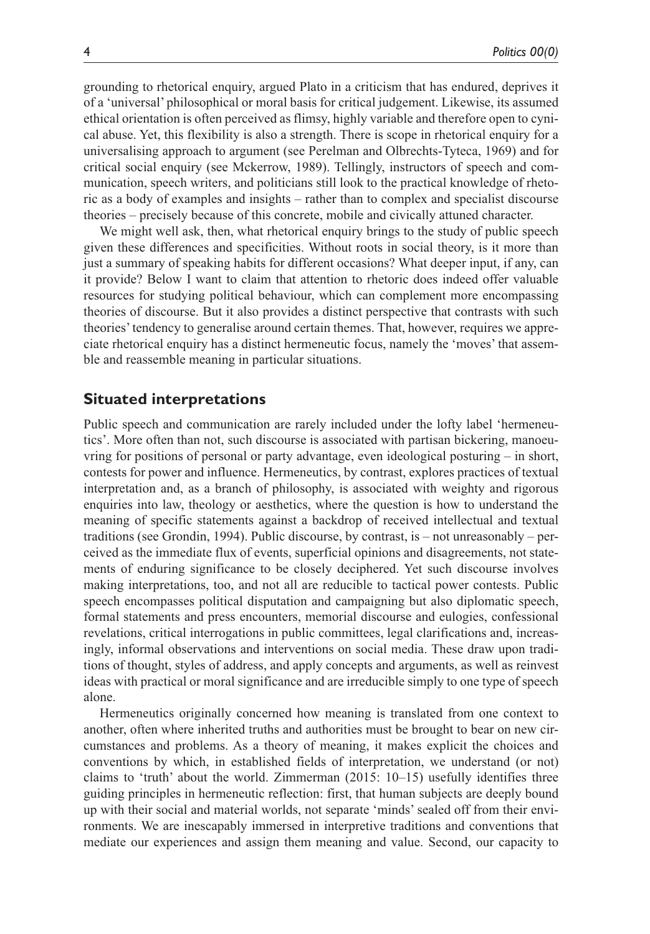grounding to rhetorical enquiry, argued Plato in a criticism that has endured, deprives it of a 'universal' philosophical or moral basis for critical judgement. Likewise, its assumed ethical orientation is often perceived as flimsy, highly variable and therefore open to cynical abuse. Yet, this flexibility is also a strength. There is scope in rhetorical enquiry for a universalising approach to argument (see Perelman and Olbrechts-Tyteca, 1969) and for critical social enquiry (see Mckerrow, 1989). Tellingly, instructors of speech and communication, speech writers, and politicians still look to the practical knowledge of rhetoric as a body of examples and insights – rather than to complex and specialist discourse theories – precisely because of this concrete, mobile and civically attuned character.

We might well ask, then, what rhetorical enquiry brings to the study of public speech given these differences and specificities. Without roots in social theory, is it more than just a summary of speaking habits for different occasions? What deeper input, if any, can it provide? Below I want to claim that attention to rhetoric does indeed offer valuable resources for studying political behaviour, which can complement more encompassing theories of discourse. But it also provides a distinct perspective that contrasts with such theories' tendency to generalise around certain themes. That, however, requires we appreciate rhetorical enquiry has a distinct hermeneutic focus, namely the 'moves' that assemble and reassemble meaning in particular situations.

### **Situated interpretations**

Public speech and communication are rarely included under the lofty label 'hermeneutics'. More often than not, such discourse is associated with partisan bickering, manoeuvring for positions of personal or party advantage, even ideological posturing – in short, contests for power and influence. Hermeneutics, by contrast, explores practices of textual interpretation and, as a branch of philosophy, is associated with weighty and rigorous enquiries into law, theology or aesthetics, where the question is how to understand the meaning of specific statements against a backdrop of received intellectual and textual traditions (see Grondin, 1994). Public discourse, by contrast, is – not unreasonably – perceived as the immediate flux of events, superficial opinions and disagreements, not statements of enduring significance to be closely deciphered. Yet such discourse involves making interpretations, too, and not all are reducible to tactical power contests. Public speech encompasses political disputation and campaigning but also diplomatic speech, formal statements and press encounters, memorial discourse and eulogies, confessional revelations, critical interrogations in public committees, legal clarifications and, increasingly, informal observations and interventions on social media. These draw upon traditions of thought, styles of address, and apply concepts and arguments, as well as reinvest ideas with practical or moral significance and are irreducible simply to one type of speech alone.

Hermeneutics originally concerned how meaning is translated from one context to another, often where inherited truths and authorities must be brought to bear on new circumstances and problems. As a theory of meaning, it makes explicit the choices and conventions by which, in established fields of interpretation, we understand (or not) claims to 'truth' about the world. Zimmerman (2015: 10–15) usefully identifies three guiding principles in hermeneutic reflection: first, that human subjects are deeply bound up with their social and material worlds, not separate 'minds' sealed off from their environments. We are inescapably immersed in interpretive traditions and conventions that mediate our experiences and assign them meaning and value. Second, our capacity to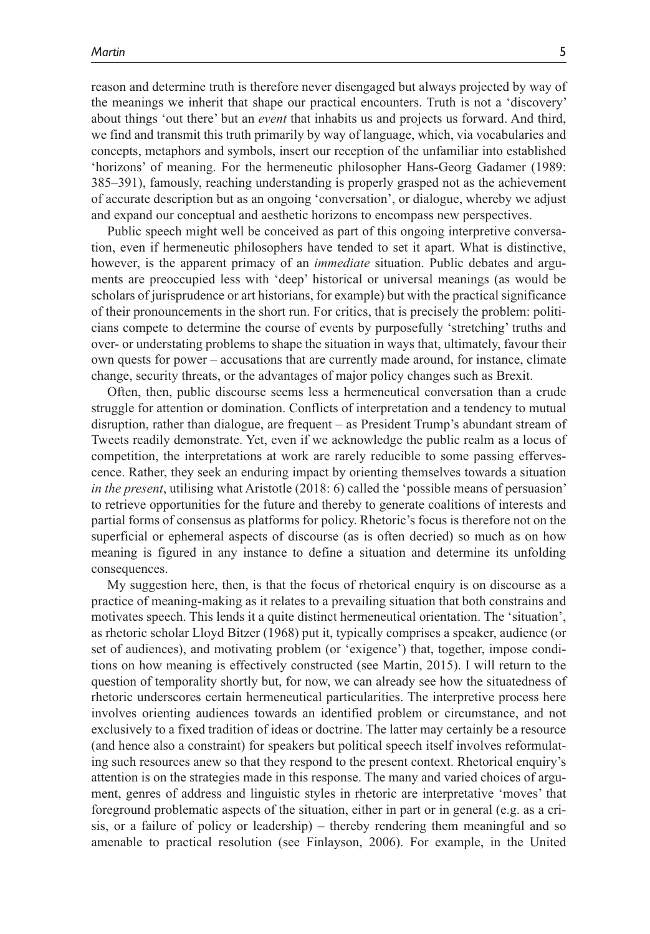reason and determine truth is therefore never disengaged but always projected by way of the meanings we inherit that shape our practical encounters. Truth is not a 'discovery' about things 'out there' but an *event* that inhabits us and projects us forward. And third, we find and transmit this truth primarily by way of language, which, via vocabularies and concepts, metaphors and symbols, insert our reception of the unfamiliar into established 'horizons' of meaning. For the hermeneutic philosopher Hans-Georg Gadamer (1989: 385–391), famously, reaching understanding is properly grasped not as the achievement of accurate description but as an ongoing 'conversation', or dialogue, whereby we adjust and expand our conceptual and aesthetic horizons to encompass new perspectives.

Public speech might well be conceived as part of this ongoing interpretive conversation, even if hermeneutic philosophers have tended to set it apart. What is distinctive, however, is the apparent primacy of an *immediate* situation. Public debates and arguments are preoccupied less with 'deep' historical or universal meanings (as would be scholars of jurisprudence or art historians, for example) but with the practical significance of their pronouncements in the short run. For critics, that is precisely the problem: politicians compete to determine the course of events by purposefully 'stretching' truths and over- or understating problems to shape the situation in ways that, ultimately, favour their own quests for power – accusations that are currently made around, for instance, climate change, security threats, or the advantages of major policy changes such as Brexit.

Often, then, public discourse seems less a hermeneutical conversation than a crude struggle for attention or domination. Conflicts of interpretation and a tendency to mutual disruption, rather than dialogue, are frequent – as President Trump's abundant stream of Tweets readily demonstrate. Yet, even if we acknowledge the public realm as a locus of competition, the interpretations at work are rarely reducible to some passing effervescence. Rather, they seek an enduring impact by orienting themselves towards a situation *in the present*, utilising what Aristotle (2018: 6) called the 'possible means of persuasion' to retrieve opportunities for the future and thereby to generate coalitions of interests and partial forms of consensus as platforms for policy. Rhetoric's focus is therefore not on the superficial or ephemeral aspects of discourse (as is often decried) so much as on how meaning is figured in any instance to define a situation and determine its unfolding consequences.

My suggestion here, then, is that the focus of rhetorical enquiry is on discourse as a practice of meaning-making as it relates to a prevailing situation that both constrains and motivates speech. This lends it a quite distinct hermeneutical orientation. The 'situation', as rhetoric scholar Lloyd Bitzer (1968) put it, typically comprises a speaker, audience (or set of audiences), and motivating problem (or 'exigence') that, together, impose conditions on how meaning is effectively constructed (see Martin, 2015). I will return to the question of temporality shortly but, for now, we can already see how the situatedness of rhetoric underscores certain hermeneutical particularities. The interpretive process here involves orienting audiences towards an identified problem or circumstance, and not exclusively to a fixed tradition of ideas or doctrine. The latter may certainly be a resource (and hence also a constraint) for speakers but political speech itself involves reformulating such resources anew so that they respond to the present context. Rhetorical enquiry's attention is on the strategies made in this response. The many and varied choices of argument, genres of address and linguistic styles in rhetoric are interpretative 'moves' that foreground problematic aspects of the situation, either in part or in general (e.g. as a crisis, or a failure of policy or leadership) – thereby rendering them meaningful and so amenable to practical resolution (see Finlayson, 2006). For example, in the United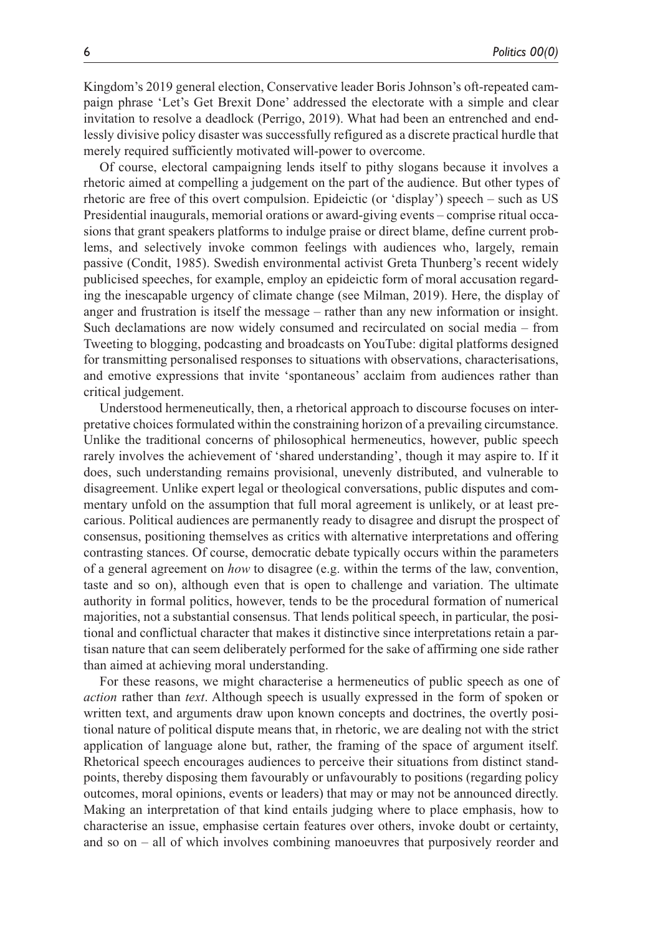Kingdom's 2019 general election, Conservative leader Boris Johnson's oft-repeated campaign phrase 'Let's Get Brexit Done' addressed the electorate with a simple and clear invitation to resolve a deadlock (Perrigo, 2019). What had been an entrenched and endlessly divisive policy disaster was successfully refigured as a discrete practical hurdle that merely required sufficiently motivated will-power to overcome.

Of course, electoral campaigning lends itself to pithy slogans because it involves a rhetoric aimed at compelling a judgement on the part of the audience. But other types of rhetoric are free of this overt compulsion. Epideictic (or 'display') speech – such as US Presidential inaugurals, memorial orations or award-giving events – comprise ritual occasions that grant speakers platforms to indulge praise or direct blame, define current problems, and selectively invoke common feelings with audiences who, largely, remain passive (Condit, 1985). Swedish environmental activist Greta Thunberg's recent widely publicised speeches, for example, employ an epideictic form of moral accusation regarding the inescapable urgency of climate change (see Milman, 2019). Here, the display of anger and frustration is itself the message – rather than any new information or insight. Such declamations are now widely consumed and recirculated on social media – from Tweeting to blogging, podcasting and broadcasts on YouTube: digital platforms designed for transmitting personalised responses to situations with observations, characterisations, and emotive expressions that invite 'spontaneous' acclaim from audiences rather than critical judgement.

Understood hermeneutically, then, a rhetorical approach to discourse focuses on interpretative choices formulated within the constraining horizon of a prevailing circumstance. Unlike the traditional concerns of philosophical hermeneutics, however, public speech rarely involves the achievement of 'shared understanding', though it may aspire to. If it does, such understanding remains provisional, unevenly distributed, and vulnerable to disagreement. Unlike expert legal or theological conversations, public disputes and commentary unfold on the assumption that full moral agreement is unlikely, or at least precarious. Political audiences are permanently ready to disagree and disrupt the prospect of consensus, positioning themselves as critics with alternative interpretations and offering contrasting stances. Of course, democratic debate typically occurs within the parameters of a general agreement on *how* to disagree (e.g. within the terms of the law, convention, taste and so on), although even that is open to challenge and variation. The ultimate authority in formal politics, however, tends to be the procedural formation of numerical majorities, not a substantial consensus. That lends political speech, in particular, the positional and conflictual character that makes it distinctive since interpretations retain a partisan nature that can seem deliberately performed for the sake of affirming one side rather than aimed at achieving moral understanding.

For these reasons, we might characterise a hermeneutics of public speech as one of *action* rather than *text*. Although speech is usually expressed in the form of spoken or written text, and arguments draw upon known concepts and doctrines, the overtly positional nature of political dispute means that, in rhetoric, we are dealing not with the strict application of language alone but, rather, the framing of the space of argument itself. Rhetorical speech encourages audiences to perceive their situations from distinct standpoints, thereby disposing them favourably or unfavourably to positions (regarding policy outcomes, moral opinions, events or leaders) that may or may not be announced directly. Making an interpretation of that kind entails judging where to place emphasis, how to characterise an issue, emphasise certain features over others, invoke doubt or certainty, and so on – all of which involves combining manoeuvres that purposively reorder and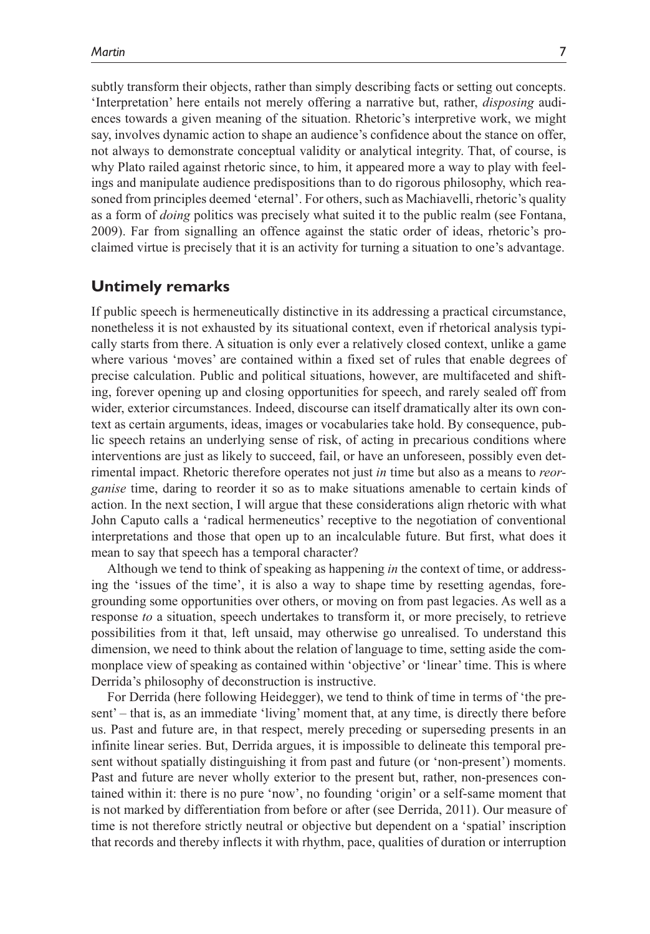subtly transform their objects, rather than simply describing facts or setting out concepts. 'Interpretation' here entails not merely offering a narrative but, rather, *disposing* audiences towards a given meaning of the situation. Rhetoric's interpretive work, we might say, involves dynamic action to shape an audience's confidence about the stance on offer, not always to demonstrate conceptual validity or analytical integrity. That, of course, is why Plato railed against rhetoric since, to him, it appeared more a way to play with feelings and manipulate audience predispositions than to do rigorous philosophy, which reasoned from principles deemed 'eternal'. For others, such as Machiavelli, rhetoric's quality as a form of *doing* politics was precisely what suited it to the public realm (see Fontana, 2009). Far from signalling an offence against the static order of ideas, rhetoric's proclaimed virtue is precisely that it is an activity for turning a situation to one's advantage.

# **Untimely remarks**

If public speech is hermeneutically distinctive in its addressing a practical circumstance, nonetheless it is not exhausted by its situational context, even if rhetorical analysis typically starts from there. A situation is only ever a relatively closed context, unlike a game where various 'moves' are contained within a fixed set of rules that enable degrees of precise calculation. Public and political situations, however, are multifaceted and shifting, forever opening up and closing opportunities for speech, and rarely sealed off from wider, exterior circumstances. Indeed, discourse can itself dramatically alter its own context as certain arguments, ideas, images or vocabularies take hold. By consequence, public speech retains an underlying sense of risk, of acting in precarious conditions where interventions are just as likely to succeed, fail, or have an unforeseen, possibly even detrimental impact. Rhetoric therefore operates not just *in* time but also as a means to *reorganise* time, daring to reorder it so as to make situations amenable to certain kinds of action. In the next section, I will argue that these considerations align rhetoric with what John Caputo calls a 'radical hermeneutics' receptive to the negotiation of conventional interpretations and those that open up to an incalculable future. But first, what does it mean to say that speech has a temporal character?

Although we tend to think of speaking as happening *in* the context of time, or addressing the 'issues of the time', it is also a way to shape time by resetting agendas, foregrounding some opportunities over others, or moving on from past legacies. As well as a response *to* a situation, speech undertakes to transform it, or more precisely, to retrieve possibilities from it that, left unsaid, may otherwise go unrealised. To understand this dimension, we need to think about the relation of language to time, setting aside the commonplace view of speaking as contained within 'objective' or 'linear' time. This is where Derrida's philosophy of deconstruction is instructive.

For Derrida (here following Heidegger), we tend to think of time in terms of 'the present' – that is, as an immediate 'living' moment that, at any time, is directly there before us. Past and future are, in that respect, merely preceding or superseding presents in an infinite linear series. But, Derrida argues, it is impossible to delineate this temporal present without spatially distinguishing it from past and future (or 'non-present') moments. Past and future are never wholly exterior to the present but, rather, non-presences contained within it: there is no pure 'now', no founding 'origin' or a self-same moment that is not marked by differentiation from before or after (see Derrida, 2011). Our measure of time is not therefore strictly neutral or objective but dependent on a 'spatial' inscription that records and thereby inflects it with rhythm, pace, qualities of duration or interruption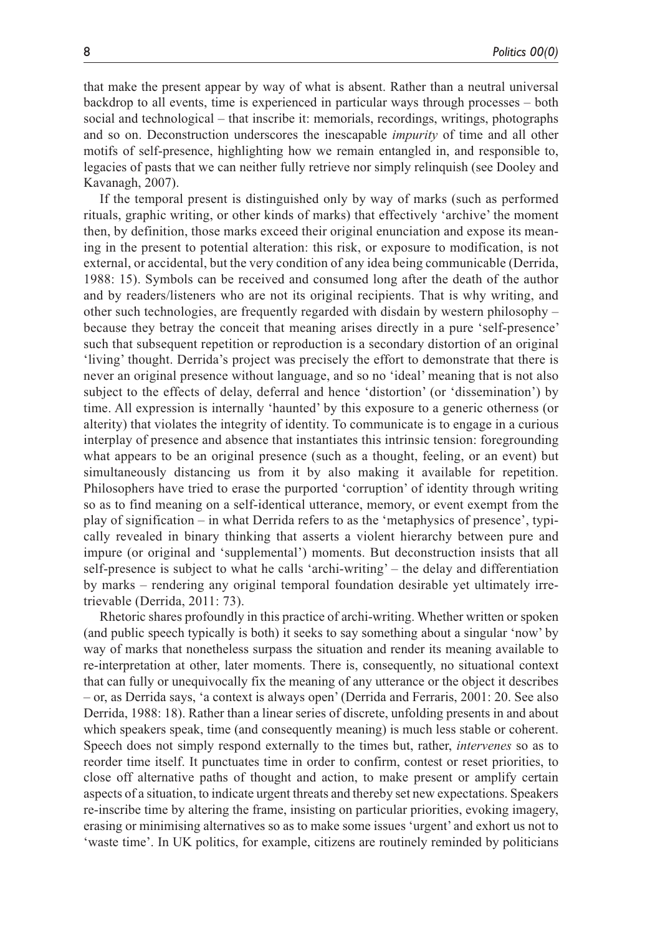that make the present appear by way of what is absent. Rather than a neutral universal backdrop to all events, time is experienced in particular ways through processes – both social and technological – that inscribe it: memorials, recordings, writings, photographs and so on. Deconstruction underscores the inescapable *impurity* of time and all other motifs of self-presence, highlighting how we remain entangled in, and responsible to, legacies of pasts that we can neither fully retrieve nor simply relinquish (see Dooley and Kavanagh, 2007).

If the temporal present is distinguished only by way of marks (such as performed rituals, graphic writing, or other kinds of marks) that effectively 'archive' the moment then, by definition, those marks exceed their original enunciation and expose its meaning in the present to potential alteration: this risk, or exposure to modification, is not external, or accidental, but the very condition of any idea being communicable (Derrida, 1988: 15). Symbols can be received and consumed long after the death of the author and by readers/listeners who are not its original recipients. That is why writing, and other such technologies, are frequently regarded with disdain by western philosophy – because they betray the conceit that meaning arises directly in a pure 'self-presence' such that subsequent repetition or reproduction is a secondary distortion of an original 'living' thought. Derrida's project was precisely the effort to demonstrate that there is never an original presence without language, and so no 'ideal' meaning that is not also subject to the effects of delay, deferral and hence 'distortion' (or 'dissemination') by time. All expression is internally 'haunted' by this exposure to a generic otherness (or alterity) that violates the integrity of identity. To communicate is to engage in a curious interplay of presence and absence that instantiates this intrinsic tension: foregrounding what appears to be an original presence (such as a thought, feeling, or an event) but simultaneously distancing us from it by also making it available for repetition. Philosophers have tried to erase the purported 'corruption' of identity through writing so as to find meaning on a self-identical utterance, memory, or event exempt from the play of signification – in what Derrida refers to as the 'metaphysics of presence', typically revealed in binary thinking that asserts a violent hierarchy between pure and impure (or original and 'supplemental') moments. But deconstruction insists that all self-presence is subject to what he calls 'archi-writing' – the delay and differentiation by marks – rendering any original temporal foundation desirable yet ultimately irretrievable (Derrida, 2011: 73).

Rhetoric shares profoundly in this practice of archi-writing. Whether written or spoken (and public speech typically is both) it seeks to say something about a singular 'now' by way of marks that nonetheless surpass the situation and render its meaning available to re-interpretation at other, later moments. There is, consequently, no situational context that can fully or unequivocally fix the meaning of any utterance or the object it describes – or, as Derrida says, 'a context is always open' (Derrida and Ferraris, 2001: 20. See also Derrida, 1988: 18). Rather than a linear series of discrete, unfolding presents in and about which speakers speak, time (and consequently meaning) is much less stable or coherent. Speech does not simply respond externally to the times but, rather, *intervenes* so as to reorder time itself. It punctuates time in order to confirm, contest or reset priorities, to close off alternative paths of thought and action, to make present or amplify certain aspects of a situation, to indicate urgent threats and thereby set new expectations. Speakers re-inscribe time by altering the frame, insisting on particular priorities, evoking imagery, erasing or minimising alternatives so as to make some issues 'urgent' and exhort us not to 'waste time'. In UK politics, for example, citizens are routinely reminded by politicians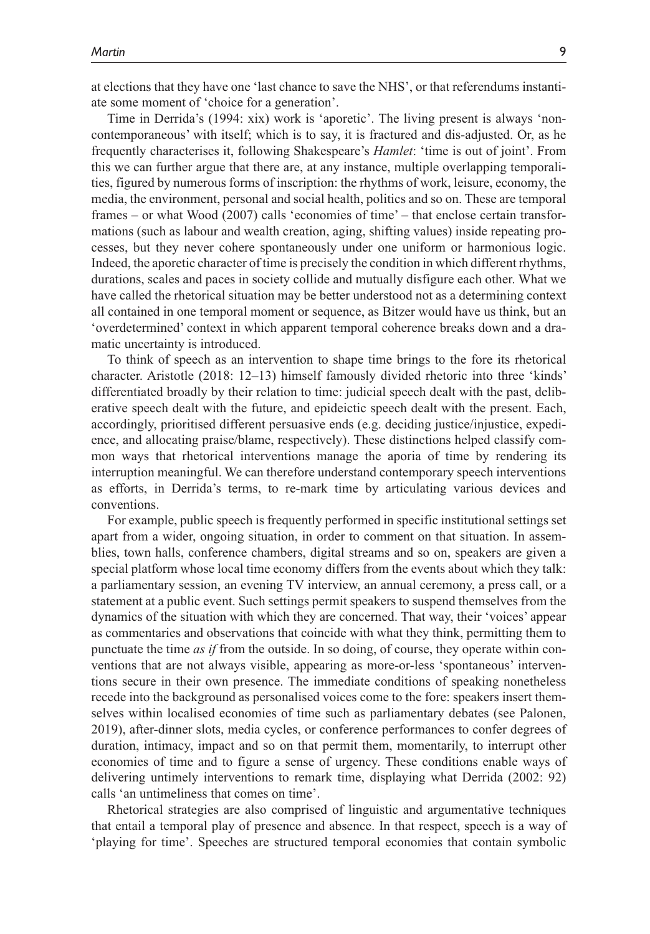at elections that they have one 'last chance to save the NHS', or that referendums instantiate some moment of 'choice for a generation'.

Time in Derrida's (1994: xix) work is 'aporetic'. The living present is always 'noncontemporaneous' with itself; which is to say, it is fractured and dis-adjusted. Or, as he frequently characterises it, following Shakespeare's *Hamlet*: 'time is out of joint'. From this we can further argue that there are, at any instance, multiple overlapping temporalities, figured by numerous forms of inscription: the rhythms of work, leisure, economy, the media, the environment, personal and social health, politics and so on. These are temporal frames – or what Wood (2007) calls 'economies of time' – that enclose certain transformations (such as labour and wealth creation, aging, shifting values) inside repeating processes, but they never cohere spontaneously under one uniform or harmonious logic. Indeed, the aporetic character of time is precisely the condition in which different rhythms, durations, scales and paces in society collide and mutually disfigure each other. What we have called the rhetorical situation may be better understood not as a determining context all contained in one temporal moment or sequence, as Bitzer would have us think, but an 'overdetermined' context in which apparent temporal coherence breaks down and a dramatic uncertainty is introduced.

To think of speech as an intervention to shape time brings to the fore its rhetorical character. Aristotle (2018: 12–13) himself famously divided rhetoric into three 'kinds' differentiated broadly by their relation to time: judicial speech dealt with the past, deliberative speech dealt with the future, and epideictic speech dealt with the present. Each, accordingly, prioritised different persuasive ends (e.g. deciding justice/injustice, expedience, and allocating praise/blame, respectively). These distinctions helped classify common ways that rhetorical interventions manage the aporia of time by rendering its interruption meaningful. We can therefore understand contemporary speech interventions as efforts, in Derrida's terms, to re-mark time by articulating various devices and conventions.

For example, public speech is frequently performed in specific institutional settings set apart from a wider, ongoing situation, in order to comment on that situation. In assemblies, town halls, conference chambers, digital streams and so on, speakers are given a special platform whose local time economy differs from the events about which they talk: a parliamentary session, an evening TV interview, an annual ceremony, a press call, or a statement at a public event. Such settings permit speakers to suspend themselves from the dynamics of the situation with which they are concerned. That way, their 'voices' appear as commentaries and observations that coincide with what they think, permitting them to punctuate the time *as if* from the outside. In so doing, of course, they operate within conventions that are not always visible, appearing as more-or-less 'spontaneous' interventions secure in their own presence. The immediate conditions of speaking nonetheless recede into the background as personalised voices come to the fore: speakers insert themselves within localised economies of time such as parliamentary debates (see Palonen, 2019), after-dinner slots, media cycles, or conference performances to confer degrees of duration, intimacy, impact and so on that permit them, momentarily, to interrupt other economies of time and to figure a sense of urgency. These conditions enable ways of delivering untimely interventions to remark time, displaying what Derrida (2002: 92) calls 'an untimeliness that comes on time'.

Rhetorical strategies are also comprised of linguistic and argumentative techniques that entail a temporal play of presence and absence. In that respect, speech is a way of 'playing for time'. Speeches are structured temporal economies that contain symbolic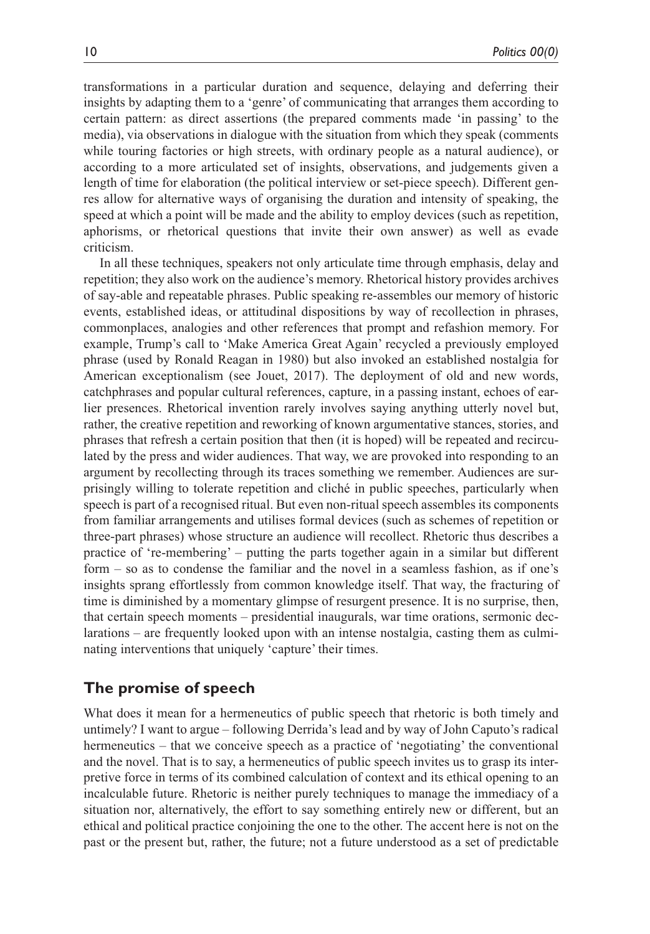transformations in a particular duration and sequence, delaying and deferring their insights by adapting them to a 'genre' of communicating that arranges them according to certain pattern: as direct assertions (the prepared comments made 'in passing' to the media), via observations in dialogue with the situation from which they speak (comments while touring factories or high streets, with ordinary people as a natural audience), or according to a more articulated set of insights, observations, and judgements given a length of time for elaboration (the political interview or set-piece speech). Different genres allow for alternative ways of organising the duration and intensity of speaking, the speed at which a point will be made and the ability to employ devices (such as repetition, aphorisms, or rhetorical questions that invite their own answer) as well as evade criticism.

In all these techniques, speakers not only articulate time through emphasis, delay and repetition; they also work on the audience's memory. Rhetorical history provides archives of say-able and repeatable phrases. Public speaking re-assembles our memory of historic events, established ideas, or attitudinal dispositions by way of recollection in phrases, commonplaces, analogies and other references that prompt and refashion memory. For example, Trump's call to 'Make America Great Again' recycled a previously employed phrase (used by Ronald Reagan in 1980) but also invoked an established nostalgia for American exceptionalism (see Jouet, 2017). The deployment of old and new words, catchphrases and popular cultural references, capture, in a passing instant, echoes of earlier presences. Rhetorical invention rarely involves saying anything utterly novel but, rather, the creative repetition and reworking of known argumentative stances, stories, and phrases that refresh a certain position that then (it is hoped) will be repeated and recirculated by the press and wider audiences. That way, we are provoked into responding to an argument by recollecting through its traces something we remember. Audiences are surprisingly willing to tolerate repetition and cliché in public speeches, particularly when speech is part of a recognised ritual. But even non-ritual speech assembles its components from familiar arrangements and utilises formal devices (such as schemes of repetition or three-part phrases) whose structure an audience will recollect. Rhetoric thus describes a practice of 're-membering' – putting the parts together again in a similar but different form – so as to condense the familiar and the novel in a seamless fashion, as if one's insights sprang effortlessly from common knowledge itself. That way, the fracturing of time is diminished by a momentary glimpse of resurgent presence. It is no surprise, then, that certain speech moments – presidential inaugurals, war time orations, sermonic declarations – are frequently looked upon with an intense nostalgia, casting them as culminating interventions that uniquely 'capture' their times.

# **The promise of speech**

What does it mean for a hermeneutics of public speech that rhetoric is both timely and untimely? I want to argue – following Derrida's lead and by way of John Caputo's radical hermeneutics – that we conceive speech as a practice of 'negotiating' the conventional and the novel. That is to say, a hermeneutics of public speech invites us to grasp its interpretive force in terms of its combined calculation of context and its ethical opening to an incalculable future. Rhetoric is neither purely techniques to manage the immediacy of a situation nor, alternatively, the effort to say something entirely new or different, but an ethical and political practice conjoining the one to the other. The accent here is not on the past or the present but, rather, the future; not a future understood as a set of predictable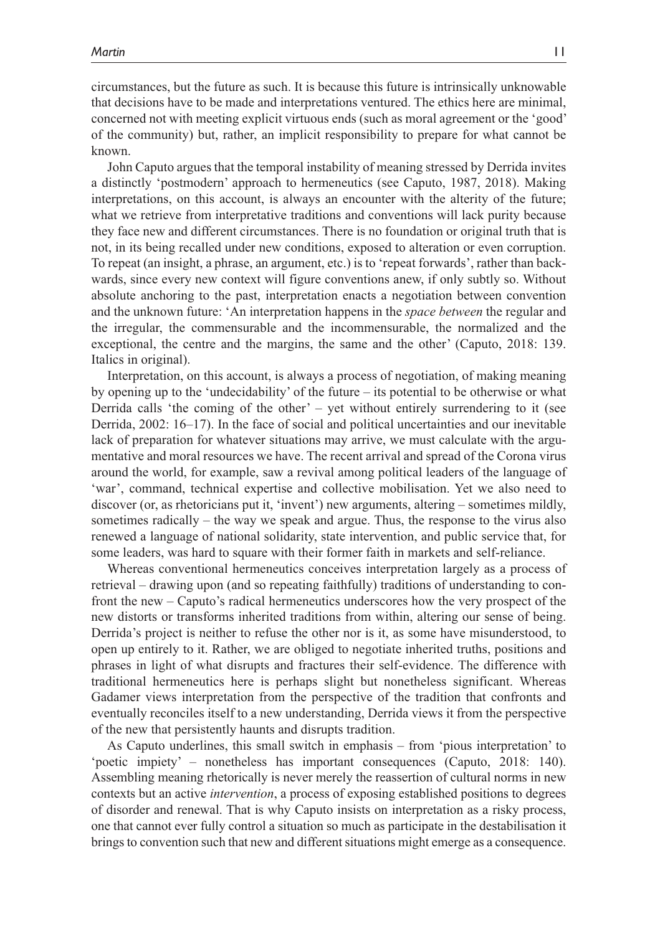circumstances, but the future as such. It is because this future is intrinsically unknowable that decisions have to be made and interpretations ventured. The ethics here are minimal, concerned not with meeting explicit virtuous ends (such as moral agreement or the 'good' of the community) but, rather, an implicit responsibility to prepare for what cannot be known.

John Caputo argues that the temporal instability of meaning stressed by Derrida invites a distinctly 'postmodern' approach to hermeneutics (see Caputo, 1987, 2018). Making interpretations, on this account, is always an encounter with the alterity of the future; what we retrieve from interpretative traditions and conventions will lack purity because they face new and different circumstances. There is no foundation or original truth that is not, in its being recalled under new conditions, exposed to alteration or even corruption. To repeat (an insight, a phrase, an argument, etc.) is to 'repeat forwards', rather than backwards, since every new context will figure conventions anew, if only subtly so. Without absolute anchoring to the past, interpretation enacts a negotiation between convention and the unknown future: 'An interpretation happens in the *space between* the regular and the irregular, the commensurable and the incommensurable, the normalized and the exceptional, the centre and the margins, the same and the other' (Caputo, 2018: 139. Italics in original).

Interpretation, on this account, is always a process of negotiation, of making meaning by opening up to the 'undecidability' of the future – its potential to be otherwise or what Derrida calls 'the coming of the other' – yet without entirely surrendering to it (see Derrida, 2002: 16–17). In the face of social and political uncertainties and our inevitable lack of preparation for whatever situations may arrive, we must calculate with the argumentative and moral resources we have. The recent arrival and spread of the Corona virus around the world, for example, saw a revival among political leaders of the language of 'war', command, technical expertise and collective mobilisation. Yet we also need to discover (or, as rhetoricians put it, 'invent') new arguments, altering – sometimes mildly, sometimes radically – the way we speak and argue. Thus, the response to the virus also renewed a language of national solidarity, state intervention, and public service that, for some leaders, was hard to square with their former faith in markets and self-reliance.

Whereas conventional hermeneutics conceives interpretation largely as a process of retrieval – drawing upon (and so repeating faithfully) traditions of understanding to confront the new – Caputo's radical hermeneutics underscores how the very prospect of the new distorts or transforms inherited traditions from within, altering our sense of being. Derrida's project is neither to refuse the other nor is it, as some have misunderstood, to open up entirely to it. Rather, we are obliged to negotiate inherited truths, positions and phrases in light of what disrupts and fractures their self-evidence. The difference with traditional hermeneutics here is perhaps slight but nonetheless significant. Whereas Gadamer views interpretation from the perspective of the tradition that confronts and eventually reconciles itself to a new understanding, Derrida views it from the perspective of the new that persistently haunts and disrupts tradition.

As Caputo underlines, this small switch in emphasis – from 'pious interpretation' to 'poetic impiety' – nonetheless has important consequences (Caputo, 2018: 140). Assembling meaning rhetorically is never merely the reassertion of cultural norms in new contexts but an active *intervention*, a process of exposing established positions to degrees of disorder and renewal. That is why Caputo insists on interpretation as a risky process, one that cannot ever fully control a situation so much as participate in the destabilisation it brings to convention such that new and different situations might emerge as a consequence.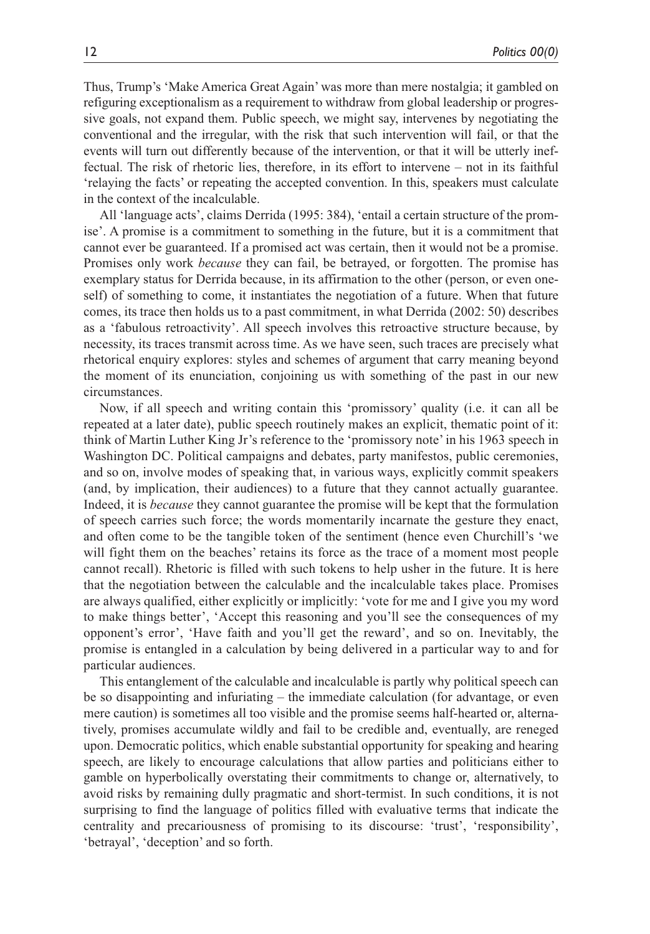Thus, Trump's 'Make America Great Again' was more than mere nostalgia; it gambled on refiguring exceptionalism as a requirement to withdraw from global leadership or progressive goals, not expand them. Public speech, we might say, intervenes by negotiating the conventional and the irregular, with the risk that such intervention will fail, or that the events will turn out differently because of the intervention, or that it will be utterly ineffectual. The risk of rhetoric lies, therefore, in its effort to intervene – not in its faithful 'relaying the facts' or repeating the accepted convention. In this, speakers must calculate in the context of the incalculable.

All 'language acts', claims Derrida (1995: 384), 'entail a certain structure of the promise'. A promise is a commitment to something in the future, but it is a commitment that cannot ever be guaranteed. If a promised act was certain, then it would not be a promise. Promises only work *because* they can fail, be betrayed, or forgotten. The promise has exemplary status for Derrida because, in its affirmation to the other (person, or even oneself) of something to come, it instantiates the negotiation of a future. When that future comes, its trace then holds us to a past commitment, in what Derrida (2002: 50) describes as a 'fabulous retroactivity'. All speech involves this retroactive structure because, by necessity, its traces transmit across time. As we have seen, such traces are precisely what rhetorical enquiry explores: styles and schemes of argument that carry meaning beyond the moment of its enunciation, conjoining us with something of the past in our new circumstances.

Now, if all speech and writing contain this 'promissory' quality (i.e. it can all be repeated at a later date), public speech routinely makes an explicit, thematic point of it: think of Martin Luther King Jr's reference to the 'promissory note' in his 1963 speech in Washington DC. Political campaigns and debates, party manifestos, public ceremonies, and so on, involve modes of speaking that, in various ways, explicitly commit speakers (and, by implication, their audiences) to a future that they cannot actually guarantee. Indeed, it is *because* they cannot guarantee the promise will be kept that the formulation of speech carries such force; the words momentarily incarnate the gesture they enact, and often come to be the tangible token of the sentiment (hence even Churchill's 'we will fight them on the beaches' retains its force as the trace of a moment most people cannot recall). Rhetoric is filled with such tokens to help usher in the future. It is here that the negotiation between the calculable and the incalculable takes place. Promises are always qualified, either explicitly or implicitly: 'vote for me and I give you my word to make things better', 'Accept this reasoning and you'll see the consequences of my opponent's error', 'Have faith and you'll get the reward', and so on. Inevitably, the promise is entangled in a calculation by being delivered in a particular way to and for particular audiences.

This entanglement of the calculable and incalculable is partly why political speech can be so disappointing and infuriating – the immediate calculation (for advantage, or even mere caution) is sometimes all too visible and the promise seems half-hearted or, alternatively, promises accumulate wildly and fail to be credible and, eventually, are reneged upon. Democratic politics, which enable substantial opportunity for speaking and hearing speech, are likely to encourage calculations that allow parties and politicians either to gamble on hyperbolically overstating their commitments to change or, alternatively, to avoid risks by remaining dully pragmatic and short-termist. In such conditions, it is not surprising to find the language of politics filled with evaluative terms that indicate the centrality and precariousness of promising to its discourse: 'trust', 'responsibility', 'betrayal', 'deception' and so forth.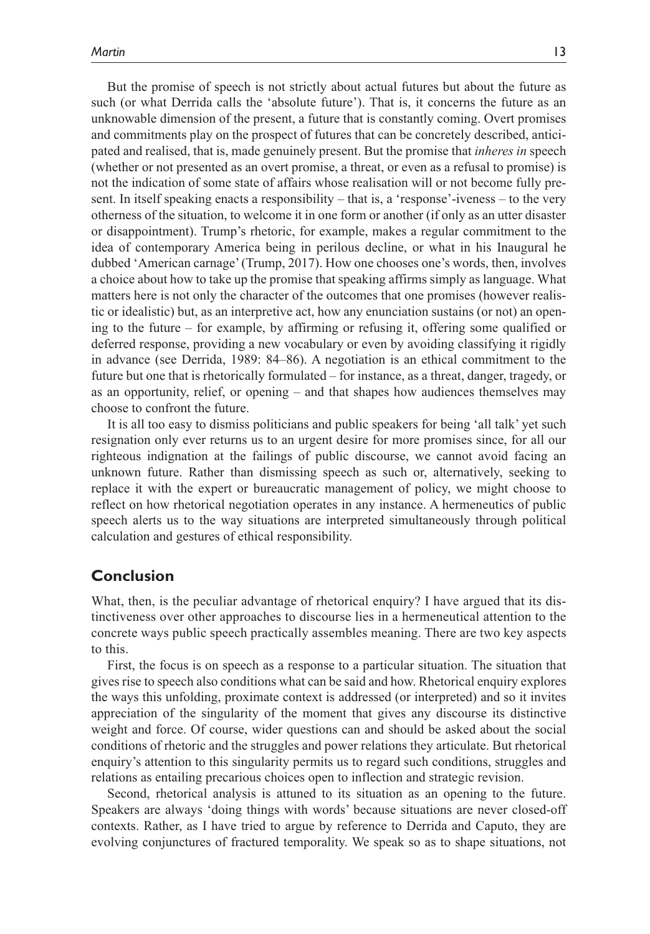But the promise of speech is not strictly about actual futures but about the future as such (or what Derrida calls the 'absolute future'). That is, it concerns the future as an unknowable dimension of the present, a future that is constantly coming. Overt promises and commitments play on the prospect of futures that can be concretely described, anticipated and realised, that is, made genuinely present. But the promise that *inheres in* speech (whether or not presented as an overt promise, a threat, or even as a refusal to promise) is not the indication of some state of affairs whose realisation will or not become fully present. In itself speaking enacts a responsibility – that is, a 'response'-iveness – to the very otherness of the situation, to welcome it in one form or another (if only as an utter disaster or disappointment). Trump's rhetoric, for example, makes a regular commitment to the idea of contemporary America being in perilous decline, or what in his Inaugural he dubbed 'American carnage' (Trump, 2017). How one chooses one's words, then, involves a choice about how to take up the promise that speaking affirms simply as language. What matters here is not only the character of the outcomes that one promises (however realistic or idealistic) but, as an interpretive act, how any enunciation sustains (or not) an opening to the future – for example, by affirming or refusing it, offering some qualified or deferred response, providing a new vocabulary or even by avoiding classifying it rigidly in advance (see Derrida, 1989: 84–86). A negotiation is an ethical commitment to the future but one that is rhetorically formulated – for instance, as a threat, danger, tragedy, or as an opportunity, relief, or opening – and that shapes how audiences themselves may choose to confront the future.

It is all too easy to dismiss politicians and public speakers for being 'all talk' yet such resignation only ever returns us to an urgent desire for more promises since, for all our righteous indignation at the failings of public discourse, we cannot avoid facing an unknown future. Rather than dismissing speech as such or, alternatively, seeking to replace it with the expert or bureaucratic management of policy, we might choose to reflect on how rhetorical negotiation operates in any instance. A hermeneutics of public speech alerts us to the way situations are interpreted simultaneously through political calculation and gestures of ethical responsibility.

# **Conclusion**

What, then, is the peculiar advantage of rhetorical enquiry? I have argued that its distinctiveness over other approaches to discourse lies in a hermeneutical attention to the concrete ways public speech practically assembles meaning. There are two key aspects to this.

First, the focus is on speech as a response to a particular situation. The situation that gives rise to speech also conditions what can be said and how. Rhetorical enquiry explores the ways this unfolding, proximate context is addressed (or interpreted) and so it invites appreciation of the singularity of the moment that gives any discourse its distinctive weight and force. Of course, wider questions can and should be asked about the social conditions of rhetoric and the struggles and power relations they articulate. But rhetorical enquiry's attention to this singularity permits us to regard such conditions, struggles and relations as entailing precarious choices open to inflection and strategic revision.

Second, rhetorical analysis is attuned to its situation as an opening to the future. Speakers are always 'doing things with words' because situations are never closed-off contexts. Rather, as I have tried to argue by reference to Derrida and Caputo, they are evolving conjunctures of fractured temporality. We speak so as to shape situations, not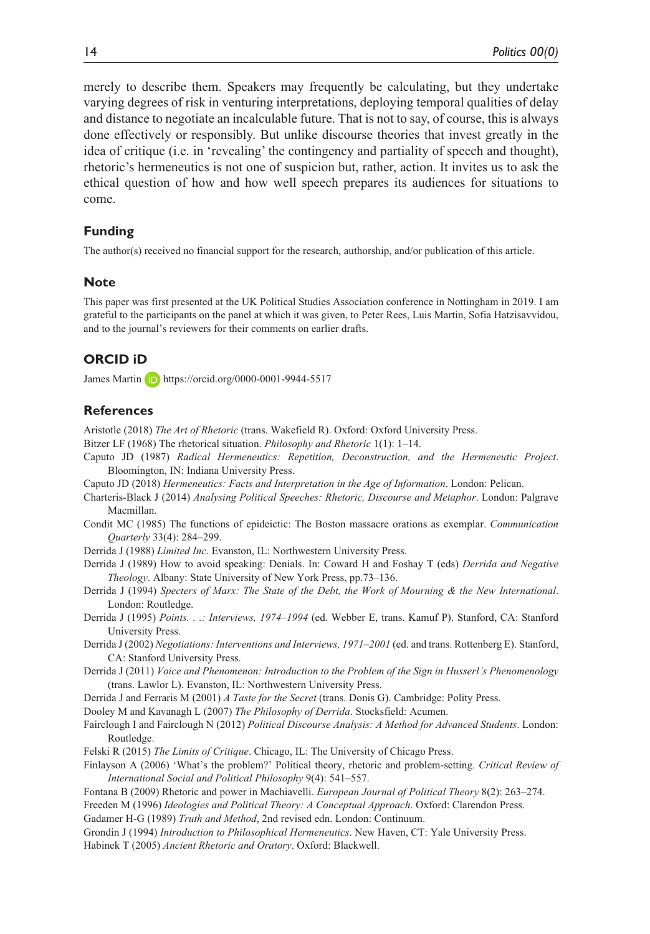merely to describe them. Speakers may frequently be calculating, but they undertake varying degrees of risk in venturing interpretations, deploying temporal qualities of delay and distance to negotiate an incalculable future. That is not to say, of course, this is always done effectively or responsibly. But unlike discourse theories that invest greatly in the idea of critique (i.e. in 'revealing' the contingency and partiality of speech and thought), rhetoric's hermeneutics is not one of suspicion but, rather, action. It invites us to ask the ethical question of how and how well speech prepares its audiences for situations to come.

#### **Funding**

The author(s) received no financial support for the research, authorship, and/or publication of this article.

#### **Note**

This paper was first presented at the UK Political Studies Association conference in Nottingham in 2019. I am grateful to the participants on the panel at which it was given, to Peter Rees, Luis Martin, Sofia Hatzisavvidou, and to the journal's reviewers for their comments on earlier drafts.

### **ORCID iD**

James Martin **D** <https://orcid.org/0000-0001-9944-5517>

#### **References**

Aristotle (2018) *The Art of Rhetoric* (trans. Wakefield R). Oxford: Oxford University Press.

- Bitzer LF (1968) The rhetorical situation. *Philosophy and Rhetoric* 1(1): 1–14.
- Caputo JD (1987) *Radical Hermeneutics: Repetition, Deconstruction, and the Hermeneutic Project*. Bloomington, IN: Indiana University Press.
- Caputo JD (2018) *Hermeneutics: Facts and Interpretation in the Age of Information*. London: Pelican.
- Charteris-Black J (2014) *Analysing Political Speeches: Rhetoric, Discourse and Metaphor*. London: Palgrave Macmillan.
- Condit MC (1985) The functions of epideictic: The Boston massacre orations as exemplar. *Communication Quarterly* 33(4): 284–299.
- Derrida J (1988) *Limited Inc*. Evanston, IL: Northwestern University Press.
- Derrida J (1989) How to avoid speaking: Denials. In: Coward H and Foshay T (eds) *Derrida and Negative Theology*. Albany: State University of New York Press, pp.73–136.
- Derrida J (1994) *Specters of Marx: The State of the Debt, the Work of Mourning & the New International*. London: Routledge.
- Derrida J (1995) *Points. . .: Interviews, 1974–1994* (ed. Webber E, trans. Kamuf P). Stanford, CA: Stanford University Press.
- Derrida J (2002) *Negotiations: Interventions and Interviews, 1971–2001* (ed. and trans. Rottenberg E). Stanford, CA: Stanford University Press.
- Derrida J (2011) *Voice and Phenomenon: Introduction to the Problem of the Sign in Husserl's Phenomenology* (trans. Lawlor L). Evanston, IL: Northwestern University Press.

Derrida J and Ferraris M (2001) *A Taste for the Secret* (trans. Donis G). Cambridge: Polity Press.

Dooley M and Kavanagh L (2007) *The Philosophy of Derrida*. Stocksfield: Acumen.

- Fairclough I and Fairclough N (2012) *Political Discourse Analysis: A Method for Advanced Students*. London: Routledge.
- Felski R (2015) *The Limits of Critique*. Chicago, IL: The University of Chicago Press.
- Finlayson A (2006) 'What's the problem?' Political theory, rhetoric and problem-setting. *Critical Review of International Social and Political Philosophy* 9(4): 541–557.

Fontana B (2009) Rhetoric and power in Machiavelli. *European Journal of Political Theory* 8(2): 263–274.

Freeden M (1996) *Ideologies and Political Theory: A Conceptual Approach*. Oxford: Clarendon Press.

Gadamer H-G (1989) *Truth and Method*, 2nd revised edn. London: Continuum.

Grondin J (1994) *Introduction to Philosophical Hermeneutics*. New Haven, CT: Yale University Press.

Habinek T (2005) *Ancient Rhetoric and Oratory*. Oxford: Blackwell.